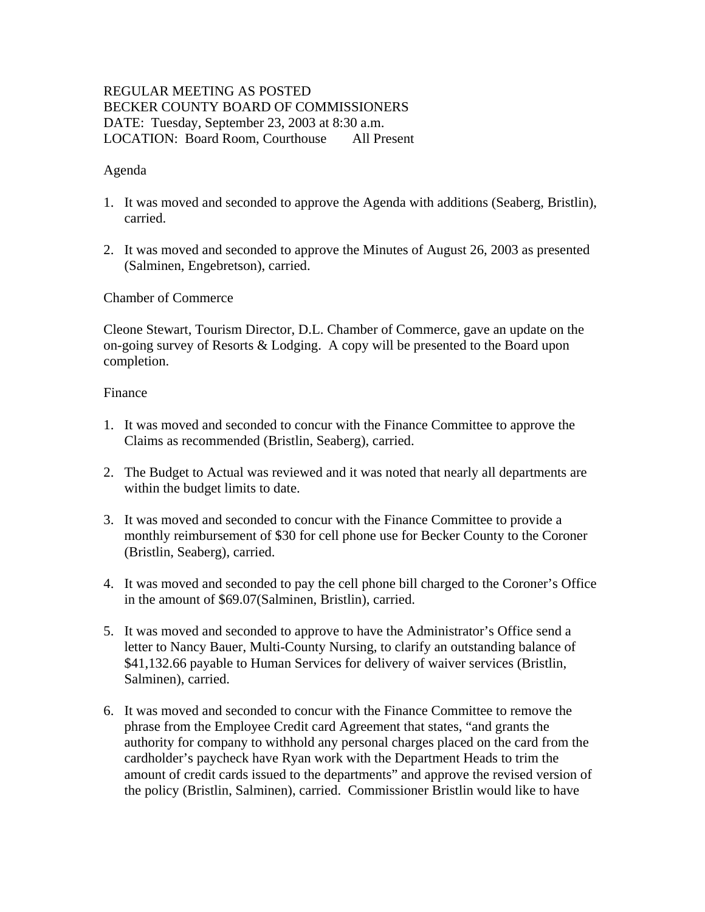# REGULAR MEETING AS POSTED BECKER COUNTY BOARD OF COMMISSIONERS DATE: Tuesday, September 23, 2003 at 8:30 a.m. LOCATION: Board Room, Courthouse All Present

## Agenda

- 1. It was moved and seconded to approve the Agenda with additions (Seaberg, Bristlin), carried.
- 2. It was moved and seconded to approve the Minutes of August 26, 2003 as presented (Salminen, Engebretson), carried.

Chamber of Commerce

Cleone Stewart, Tourism Director, D.L. Chamber of Commerce, gave an update on the on-going survey of Resorts  $&$  Lodging. A copy will be presented to the Board upon completion.

## Finance

- 1. It was moved and seconded to concur with the Finance Committee to approve the Claims as recommended (Bristlin, Seaberg), carried.
- 2. The Budget to Actual was reviewed and it was noted that nearly all departments are within the budget limits to date.
- 3. It was moved and seconded to concur with the Finance Committee to provide a monthly reimbursement of \$30 for cell phone use for Becker County to the Coroner (Bristlin, Seaberg), carried.
- 4. It was moved and seconded to pay the cell phone bill charged to the Coroner's Office in the amount of \$69.07(Salminen, Bristlin), carried.
- 5. It was moved and seconded to approve to have the Administrator's Office send a letter to Nancy Bauer, Multi-County Nursing, to clarify an outstanding balance of \$41,132.66 payable to Human Services for delivery of waiver services (Bristlin, Salminen), carried.
- 6. It was moved and seconded to concur with the Finance Committee to remove the phrase from the Employee Credit card Agreement that states, "and grants the authority for company to withhold any personal charges placed on the card from the cardholder's paycheck have Ryan work with the Department Heads to trim the amount of credit cards issued to the departments" and approve the revised version of the policy (Bristlin, Salminen), carried. Commissioner Bristlin would like to have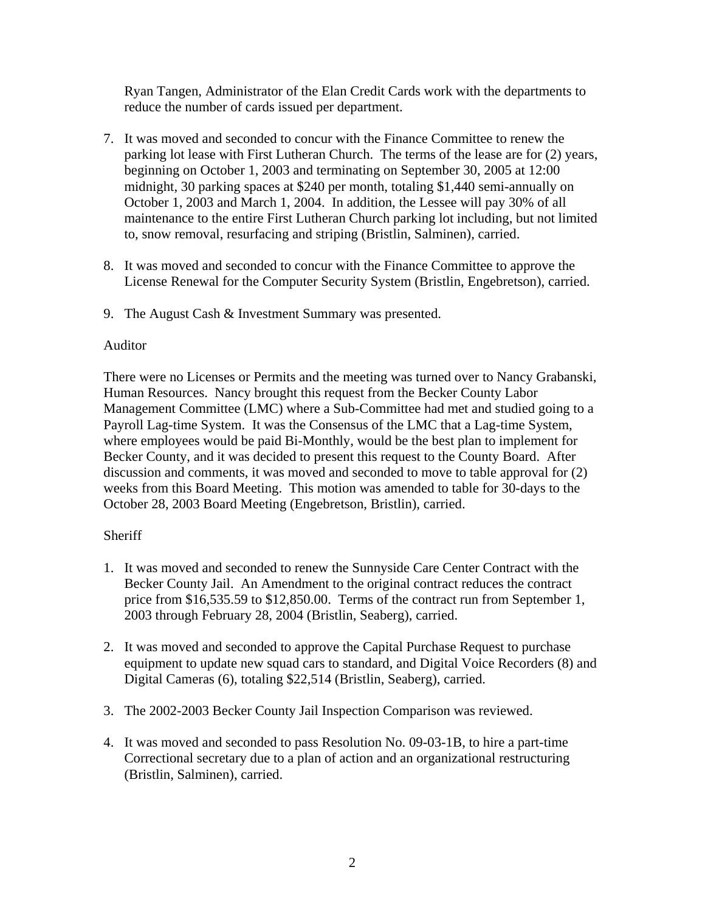Ryan Tangen, Administrator of the Elan Credit Cards work with the departments to reduce the number of cards issued per department.

- 7. It was moved and seconded to concur with the Finance Committee to renew the parking lot lease with First Lutheran Church. The terms of the lease are for (2) years, beginning on October 1, 2003 and terminating on September 30, 2005 at 12:00 midnight, 30 parking spaces at \$240 per month, totaling \$1,440 semi-annually on October 1, 2003 and March 1, 2004. In addition, the Lessee will pay 30% of all maintenance to the entire First Lutheran Church parking lot including, but not limited to, snow removal, resurfacing and striping (Bristlin, Salminen), carried.
- 8. It was moved and seconded to concur with the Finance Committee to approve the License Renewal for the Computer Security System (Bristlin, Engebretson), carried.
- 9. The August Cash & Investment Summary was presented.

# Auditor

There were no Licenses or Permits and the meeting was turned over to Nancy Grabanski, Human Resources. Nancy brought this request from the Becker County Labor Management Committee (LMC) where a Sub-Committee had met and studied going to a Payroll Lag-time System. It was the Consensus of the LMC that a Lag-time System, where employees would be paid Bi-Monthly, would be the best plan to implement for Becker County, and it was decided to present this request to the County Board. After discussion and comments, it was moved and seconded to move to table approval for (2) weeks from this Board Meeting. This motion was amended to table for 30-days to the October 28, 2003 Board Meeting (Engebretson, Bristlin), carried.

# Sheriff

- 1. It was moved and seconded to renew the Sunnyside Care Center Contract with the Becker County Jail. An Amendment to the original contract reduces the contract price from \$16,535.59 to \$12,850.00. Terms of the contract run from September 1, 2003 through February 28, 2004 (Bristlin, Seaberg), carried.
- 2. It was moved and seconded to approve the Capital Purchase Request to purchase equipment to update new squad cars to standard, and Digital Voice Recorders (8) and Digital Cameras (6), totaling \$22,514 (Bristlin, Seaberg), carried.
- 3. The 2002-2003 Becker County Jail Inspection Comparison was reviewed.
- 4. It was moved and seconded to pass Resolution No. 09-03-1B, to hire a part-time Correctional secretary due to a plan of action and an organizational restructuring (Bristlin, Salminen), carried.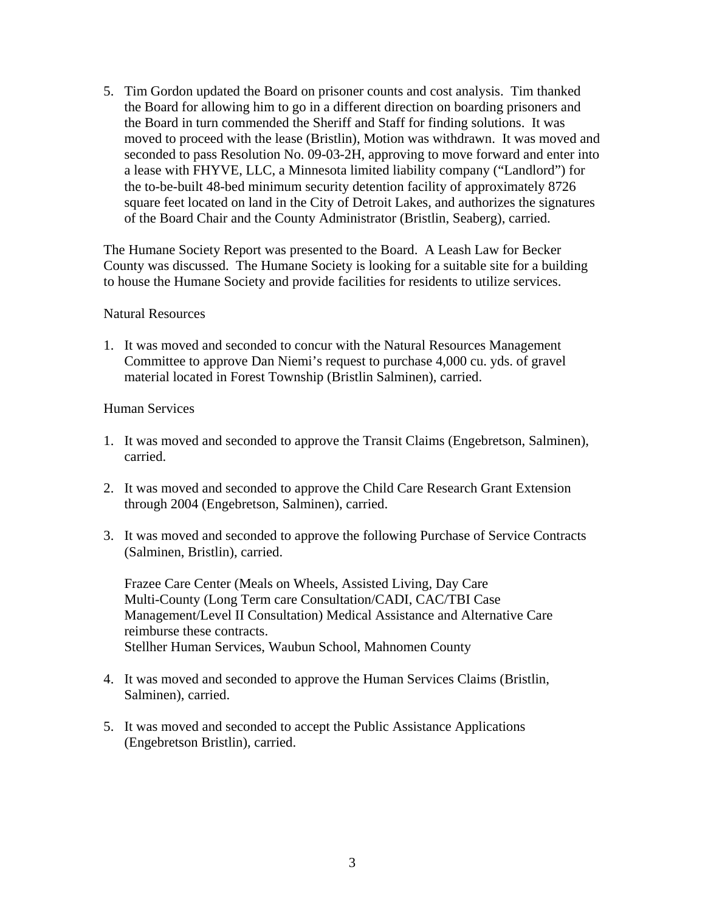5. Tim Gordon updated the Board on prisoner counts and cost analysis. Tim thanked the Board for allowing him to go in a different direction on boarding prisoners and the Board in turn commended the Sheriff and Staff for finding solutions. It was moved to proceed with the lease (Bristlin), Motion was withdrawn. It was moved and seconded to pass Resolution No. 09-03-2H, approving to move forward and enter into a lease with FHYVE, LLC, a Minnesota limited liability company ("Landlord") for the to-be-built 48-bed minimum security detention facility of approximately 8726 square feet located on land in the City of Detroit Lakes, and authorizes the signatures of the Board Chair and the County Administrator (Bristlin, Seaberg), carried.

The Humane Society Report was presented to the Board. A Leash Law for Becker County was discussed. The Humane Society is looking for a suitable site for a building to house the Humane Society and provide facilities for residents to utilize services.

### Natural Resources

1. It was moved and seconded to concur with the Natural Resources Management Committee to approve Dan Niemi's request to purchase 4,000 cu. yds. of gravel material located in Forest Township (Bristlin Salminen), carried.

### Human Services

- 1. It was moved and seconded to approve the Transit Claims (Engebretson, Salminen), carried.
- 2. It was moved and seconded to approve the Child Care Research Grant Extension through 2004 (Engebretson, Salminen), carried.
- 3. It was moved and seconded to approve the following Purchase of Service Contracts (Salminen, Bristlin), carried.

Frazee Care Center (Meals on Wheels, Assisted Living, Day Care Multi-County (Long Term care Consultation/CADI, CAC/TBI Case Management/Level II Consultation) Medical Assistance and Alternative Care reimburse these contracts. Stellher Human Services, Waubun School, Mahnomen County

- 4. It was moved and seconded to approve the Human Services Claims (Bristlin, Salminen), carried.
- 5. It was moved and seconded to accept the Public Assistance Applications (Engebretson Bristlin), carried.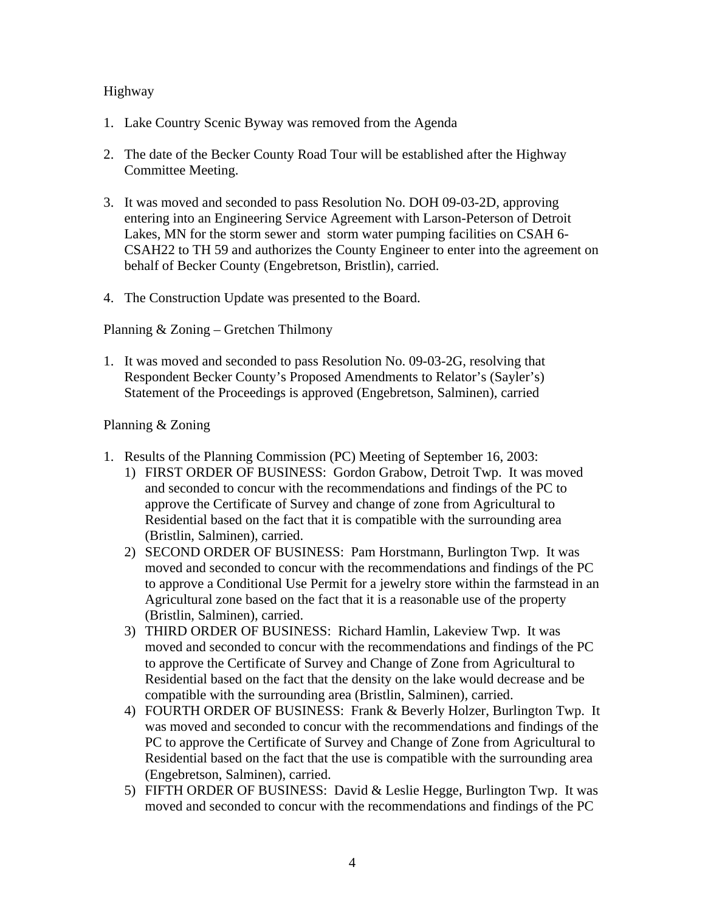## Highway

- 1. Lake Country Scenic Byway was removed from the Agenda
- 2. The date of the Becker County Road Tour will be established after the Highway Committee Meeting.
- 3. It was moved and seconded to pass Resolution No. DOH 09-03-2D, approving entering into an Engineering Service Agreement with Larson-Peterson of Detroit Lakes, MN for the storm sewer and storm water pumping facilities on CSAH 6- CSAH22 to TH 59 and authorizes the County Engineer to enter into the agreement on behalf of Becker County (Engebretson, Bristlin), carried.
- 4. The Construction Update was presented to the Board.

Planning & Zoning – Gretchen Thilmony

1. It was moved and seconded to pass Resolution No. 09-03-2G, resolving that Respondent Becker County's Proposed Amendments to Relator's (Sayler's) Statement of the Proceedings is approved (Engebretson, Salminen), carried

## Planning & Zoning

- 1. Results of the Planning Commission (PC) Meeting of September 16, 2003:
	- 1) FIRST ORDER OF BUSINESS: Gordon Grabow, Detroit Twp. It was moved and seconded to concur with the recommendations and findings of the PC to approve the Certificate of Survey and change of zone from Agricultural to Residential based on the fact that it is compatible with the surrounding area (Bristlin, Salminen), carried.
	- 2) SECOND ORDER OF BUSINESS: Pam Horstmann, Burlington Twp. It was moved and seconded to concur with the recommendations and findings of the PC to approve a Conditional Use Permit for a jewelry store within the farmstead in an Agricultural zone based on the fact that it is a reasonable use of the property (Bristlin, Salminen), carried.
	- 3) THIRD ORDER OF BUSINESS: Richard Hamlin, Lakeview Twp. It was moved and seconded to concur with the recommendations and findings of the PC to approve the Certificate of Survey and Change of Zone from Agricultural to Residential based on the fact that the density on the lake would decrease and be compatible with the surrounding area (Bristlin, Salminen), carried.
	- 4) FOURTH ORDER OF BUSINESS: Frank & Beverly Holzer, Burlington Twp. It was moved and seconded to concur with the recommendations and findings of the PC to approve the Certificate of Survey and Change of Zone from Agricultural to Residential based on the fact that the use is compatible with the surrounding area (Engebretson, Salminen), carried.
	- 5) FIFTH ORDER OF BUSINESS: David & Leslie Hegge, Burlington Twp. It was moved and seconded to concur with the recommendations and findings of the PC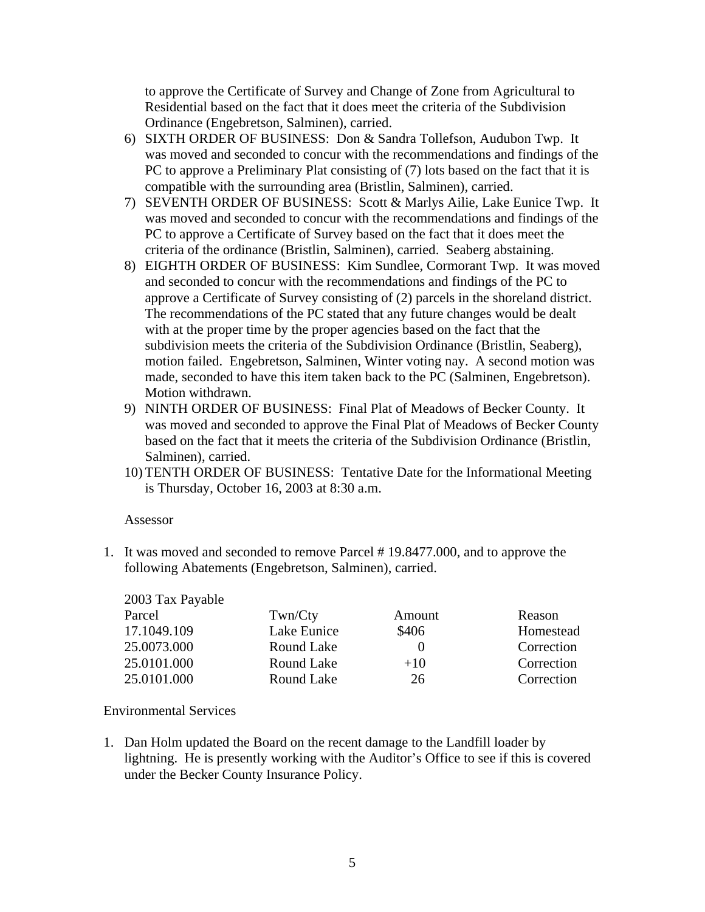to approve the Certificate of Survey and Change of Zone from Agricultural to Residential based on the fact that it does meet the criteria of the Subdivision Ordinance (Engebretson, Salminen), carried.

- 6) SIXTH ORDER OF BUSINESS: Don & Sandra Tollefson, Audubon Twp. It was moved and seconded to concur with the recommendations and findings of the PC to approve a Preliminary Plat consisting of (7) lots based on the fact that it is compatible with the surrounding area (Bristlin, Salminen), carried.
- 7) SEVENTH ORDER OF BUSINESS: Scott & Marlys Ailie, Lake Eunice Twp. It was moved and seconded to concur with the recommendations and findings of the PC to approve a Certificate of Survey based on the fact that it does meet the criteria of the ordinance (Bristlin, Salminen), carried. Seaberg abstaining.
- 8) EIGHTH ORDER OF BUSINESS: Kim Sundlee, Cormorant Twp. It was moved and seconded to concur with the recommendations and findings of the PC to approve a Certificate of Survey consisting of (2) parcels in the shoreland district. The recommendations of the PC stated that any future changes would be dealt with at the proper time by the proper agencies based on the fact that the subdivision meets the criteria of the Subdivision Ordinance (Bristlin, Seaberg), motion failed. Engebretson, Salminen, Winter voting nay. A second motion was made, seconded to have this item taken back to the PC (Salminen, Engebretson). Motion withdrawn.
- 9) NINTH ORDER OF BUSINESS: Final Plat of Meadows of Becker County. It was moved and seconded to approve the Final Plat of Meadows of Becker County based on the fact that it meets the criteria of the Subdivision Ordinance (Bristlin, Salminen), carried.
- 10) TENTH ORDER OF BUSINESS: Tentative Date for the Informational Meeting is Thursday, October 16, 2003 at 8:30 a.m.

#### Assessor

1. It was moved and seconded to remove Parcel # 19.8477.000, and to approve the following Abatements (Engebretson, Salminen), carried.

| 2003 Tax Payable |             |                  |            |
|------------------|-------------|------------------|------------|
| Parcel           | Twn/Cty     | Amount           | Reason     |
| 17.1049.109      | Lake Eunice | \$406            | Homestead  |
| 25.0073.000      | Round Lake  | $\left( \right)$ | Correction |
| 25.0101.000      | Round Lake  | $+10$            | Correction |
| 25.0101.000      | Round Lake  | 26               | Correction |

## Environmental Services

1. Dan Holm updated the Board on the recent damage to the Landfill loader by lightning. He is presently working with the Auditor's Office to see if this is covered under the Becker County Insurance Policy.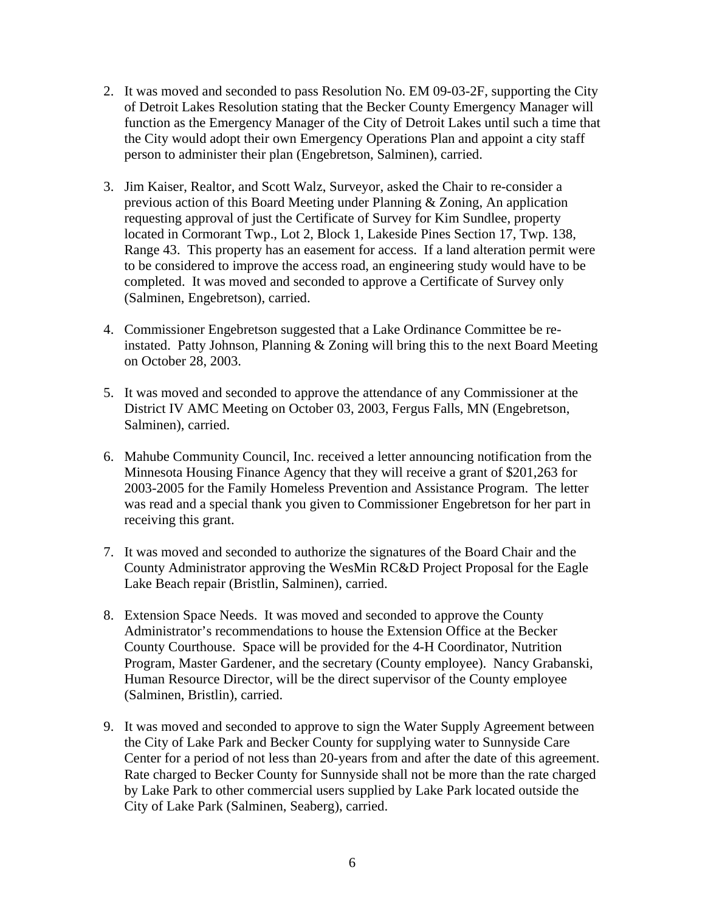- 2. It was moved and seconded to pass Resolution No. EM 09-03-2F, supporting the City of Detroit Lakes Resolution stating that the Becker County Emergency Manager will function as the Emergency Manager of the City of Detroit Lakes until such a time that the City would adopt their own Emergency Operations Plan and appoint a city staff person to administer their plan (Engebretson, Salminen), carried.
- 3. Jim Kaiser, Realtor, and Scott Walz, Surveyor, asked the Chair to re-consider a previous action of this Board Meeting under Planning & Zoning, An application requesting approval of just the Certificate of Survey for Kim Sundlee, property located in Cormorant Twp., Lot 2, Block 1, Lakeside Pines Section 17, Twp. 138, Range 43. This property has an easement for access. If a land alteration permit were to be considered to improve the access road, an engineering study would have to be completed. It was moved and seconded to approve a Certificate of Survey only (Salminen, Engebretson), carried.
- 4. Commissioner Engebretson suggested that a Lake Ordinance Committee be reinstated. Patty Johnson, Planning & Zoning will bring this to the next Board Meeting on October 28, 2003.
- 5. It was moved and seconded to approve the attendance of any Commissioner at the District IV AMC Meeting on October 03, 2003, Fergus Falls, MN (Engebretson, Salminen), carried.
- 6. Mahube Community Council, Inc. received a letter announcing notification from the Minnesota Housing Finance Agency that they will receive a grant of \$201,263 for 2003-2005 for the Family Homeless Prevention and Assistance Program. The letter was read and a special thank you given to Commissioner Engebretson for her part in receiving this grant.
- 7. It was moved and seconded to authorize the signatures of the Board Chair and the County Administrator approving the WesMin RC&D Project Proposal for the Eagle Lake Beach repair (Bristlin, Salminen), carried.
- 8. Extension Space Needs. It was moved and seconded to approve the County Administrator's recommendations to house the Extension Office at the Becker County Courthouse. Space will be provided for the 4-H Coordinator, Nutrition Program, Master Gardener, and the secretary (County employee). Nancy Grabanski, Human Resource Director, will be the direct supervisor of the County employee (Salminen, Bristlin), carried.
- 9. It was moved and seconded to approve to sign the Water Supply Agreement between the City of Lake Park and Becker County for supplying water to Sunnyside Care Center for a period of not less than 20-years from and after the date of this agreement. Rate charged to Becker County for Sunnyside shall not be more than the rate charged by Lake Park to other commercial users supplied by Lake Park located outside the City of Lake Park (Salminen, Seaberg), carried.